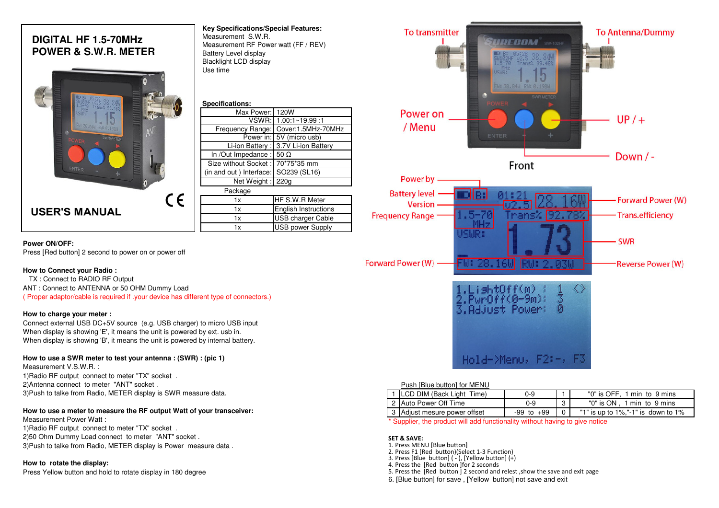# **DIGITAL HF 1.5-70MHzPOWER & S.W.R. METER**

| $38,849$<br>$39.48$<br>ns%<br>FU: 38.84W RU: 0.198W<br><b>SWR METER</b><br>POWER<br>ENTER | n          |
|-------------------------------------------------------------------------------------------|------------|
| <b>USER'S MANUAL</b>                                                                      | $\epsilon$ |

| Key Specifications/Special Features: |  |
|--------------------------------------|--|
| Measurement S.W.R.                   |  |
| Measurement RF Power watt (FF / REV) |  |
| Battery Level display                |  |
| <b>Blacklight LCD display</b>        |  |
| Use time                             |  |
|                                      |  |
|                                      |  |

| Specifications:                       |                                      |  |  |
|---------------------------------------|--------------------------------------|--|--|
| Max Power: 120W                       |                                      |  |  |
|                                       | VSWR: 1.00:1~19.99:1                 |  |  |
| Frequency Range:                      | Cover:1.5MHz-70MHz                   |  |  |
|                                       | Power in: 5V (micro usb)             |  |  |
|                                       | Li-ion Battery : 3.7V Li-ion Battery |  |  |
| In /Out Impedance : $50 \Omega$       |                                      |  |  |
| Size without Socket: 70*75*35 mm      |                                      |  |  |
| (in and out ) Interface: SO239 (SL16) |                                      |  |  |
| Net Weight: 220g                      |                                      |  |  |
| Package                               |                                      |  |  |
| 1x                                    | HF S.W.R Meter                       |  |  |
| 1x                                    | <b>English Instructions</b>          |  |  |
| 1x                                    | USB charger Cable                    |  |  |
| 1x                                    | <b>USB power Supply</b>              |  |  |

### **Power ON/OFF:**

Press [Red button] 2 second to power on or power off

#### **How to Connect your Radio :**

TX : Connect to RADIO RF Output

ANT : Connect to ANTENNA or 50 OHM Dummy Load

( Proper adaptor/cable is required if .your device has different type of connectors.)

#### **How to charge your meter :**

 Connect external USB DC+5V source (e.g. USB charger) to micro USB inputWhen display is showing 'E', it means the unit is powered by ext. usb in.When display is showing 'B', it means the unit is powered by internal battery.

#### **How to use a SWR meter to test your antenna : (SWR) : (pic 1)**

Measurement V.S.W.R. :

 1)Radio RF output connect to meter "TX" socket .2)Antenna connect to meter "ANT" socket .3)Push to talke from Radio, METER display is SWR measure data.

#### **How to use a meter to measure the RF output Watt of your transceiver:**

Measurement Power Watt :

1)Radio RF output connect to meter "TX" socket .

2)50 Ohm Dummy Load connect to meter "ANT" socket .

3)Push to talke from Radio, METER display is Power measure data .

#### **How to rotate the display:**

Press Yellow button and hold to rotate display in 180 degree



#### Push [Blue button] for MENU

| LCD DIM (Back Light Time)    | 0-9        | "0" is OFF. .<br>1 min to 9 mins           |
|------------------------------|------------|--------------------------------------------|
| 2 Auto Power Off Time        | ŋ-9        | "0" is ON,1 min_to_9 mins"                 |
| 3 Adjust mesure power offset | -99 to +99 | "1" is up to $1\%$ , "-1" is down to $1\%$ |

\* Supplier, the product will add functionality without having to give notice

#### **SET & SAVE:**

- 1. Press MENU [Blue button]
- 2. Press F1 [Red button)(Select 1-3 Function)
- 3. Press [Blue button] ( ), [Yellow button] (+)
- 4. Press the [Red button ]for 2 seconds
- 5. Press the [Red button ] 2 second and relest ,show the save and exit page
- 6. [Blue button] for save , [Yellow button] not save and exit